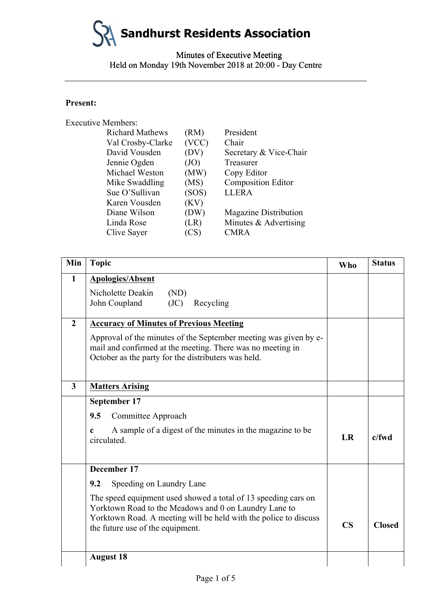**Sandhurst Residents Association**

Minutes of Executive Meeting Minutes of Executive Meeting Held on Monday 19th November 2018 at 20:00 - Day Centre

### **Present:**

| <b>Executive Members:</b> |                        |       |                              |
|---------------------------|------------------------|-------|------------------------------|
|                           | <b>Richard Mathews</b> | (RM)  | President                    |
|                           | Val Crosby-Clarke      | (VCC) | Chair                        |
|                           | David Vousden          | (DV)  | Secretary & Vice-Chair       |
|                           | Jennie Ogden           | (JO)  | Treasurer                    |
|                           | Michael Weston         | (MW)  | Copy Editor                  |
|                           | Mike Swaddling         | (MS)  | <b>Composition Editor</b>    |
|                           | Sue O'Sullivan         | (SOS) | <b>LLERA</b>                 |
|                           | Karen Vousden          | (KV)  |                              |
|                           | Diane Wilson           | (DW)  | <b>Magazine Distribution</b> |
|                           | Linda Rose             | (LR)  | Minutes & Advertising        |
|                           | Clive Sayer            | (CS)  | <b>CMRA</b>                  |
|                           |                        |       |                              |

| Held on Monday 19th November 2018 at 20:00 - Day Centre |                                                                                                                                                                                                  |                                                                                        |                                                                                                                                                                                               |                        |               |
|---------------------------------------------------------|--------------------------------------------------------------------------------------------------------------------------------------------------------------------------------------------------|----------------------------------------------------------------------------------------|-----------------------------------------------------------------------------------------------------------------------------------------------------------------------------------------------|------------------------|---------------|
| <b>Present:</b>                                         |                                                                                                                                                                                                  |                                                                                        |                                                                                                                                                                                               |                        |               |
|                                                         | <b>Executive Members:</b>                                                                                                                                                                        |                                                                                        |                                                                                                                                                                                               |                        |               |
|                                                         | <b>Richard Mathews</b><br>Val Crosby-Clarke<br>David Vousden<br>Jennie Ogden<br>Michael Weston<br>Mike Swaddling<br>Sue O'Sullivan<br>Karen Vousden<br>Diane Wilson<br>Linda Rose<br>Clive Sayer | (RM)<br>(VCC)<br>(DV)<br>(JO)<br>(MW)<br>(MS)<br>(SOS)<br>(KV)<br>(DW)<br>(LR)<br>(CS) | President<br>Chair<br>Secretary & Vice-Chair<br>Treasurer<br>Copy Editor<br><b>Composition Editor</b><br><b>LLERA</b><br><b>Magazine Distribution</b><br>Minutes & Advertising<br><b>CMRA</b> |                        |               |
|                                                         |                                                                                                                                                                                                  |                                                                                        |                                                                                                                                                                                               |                        |               |
| Min                                                     | <b>Topic</b>                                                                                                                                                                                     |                                                                                        |                                                                                                                                                                                               | <b>Who</b>             | <b>Status</b> |
| $\mathbf{1}$                                            | <b>Apologies/Absent</b>                                                                                                                                                                          |                                                                                        |                                                                                                                                                                                               |                        |               |
|                                                         | Nicholette Deakin<br>(ND)<br>John Coupland<br>(JC)                                                                                                                                               | Recycling                                                                              |                                                                                                                                                                                               |                        |               |
| $\overline{2}$                                          | <b>Accuracy of Minutes of Previous Meeting</b>                                                                                                                                                   |                                                                                        |                                                                                                                                                                                               |                        |               |
|                                                         | mail and confirmed at the meeting. There was no meeting in<br>October as the party for the distributers was held.                                                                                |                                                                                        | Approval of the minutes of the September meeting was given by e-                                                                                                                              |                        |               |
| 3                                                       | <b>Matters Arising</b>                                                                                                                                                                           |                                                                                        |                                                                                                                                                                                               |                        |               |
|                                                         | September 17                                                                                                                                                                                     |                                                                                        |                                                                                                                                                                                               |                        |               |
|                                                         | Committee Approach<br>9.5                                                                                                                                                                        |                                                                                        |                                                                                                                                                                                               |                        |               |
|                                                         | c<br>circulated.                                                                                                                                                                                 |                                                                                        | A sample of a digest of the minutes in the magazine to be                                                                                                                                     | LR                     | $c$ /fwd      |
|                                                         | December 17                                                                                                                                                                                      |                                                                                        |                                                                                                                                                                                               |                        |               |
|                                                         | Speeding on Laundry Lane<br>9.2                                                                                                                                                                  |                                                                                        |                                                                                                                                                                                               |                        |               |
|                                                         | Yorktown Road to the Meadows and 0 on Laundry Lane to<br>the future use of the equipment.                                                                                                        |                                                                                        | The speed equipment used showed a total of 13 speeding cars on<br>Yorktown Road. A meeting will be held with the police to discuss                                                            | $\overline{\text{CS}}$ | <b>Closed</b> |
|                                                         | <b>August 18</b>                                                                                                                                                                                 |                                                                                        |                                                                                                                                                                                               |                        |               |
|                                                         |                                                                                                                                                                                                  | Page 1 of 5                                                                            |                                                                                                                                                                                               |                        |               |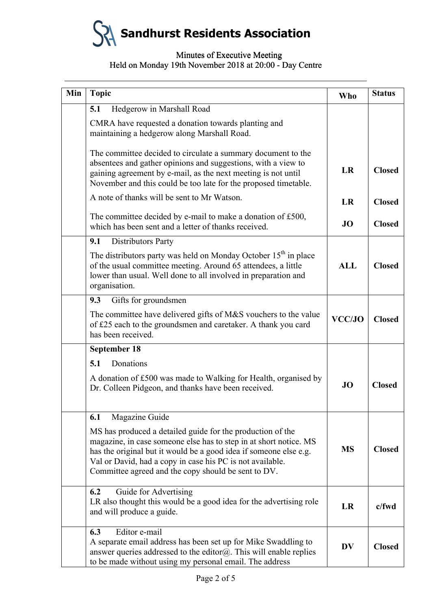

## Minutes of Executive Meeting Minutes of Executive Meeting Held on Monday 19th November 2018 at 20:00 - Day Centre

| Min | <b>Topic</b>                                                                                                                                                                                                                                                                                                             | <b>Who</b> | <b>Status</b> |
|-----|--------------------------------------------------------------------------------------------------------------------------------------------------------------------------------------------------------------------------------------------------------------------------------------------------------------------------|------------|---------------|
|     | Hedgerow in Marshall Road<br>5.1                                                                                                                                                                                                                                                                                         |            |               |
|     | CMRA have requested a donation towards planting and<br>maintaining a hedgerow along Marshall Road.                                                                                                                                                                                                                       |            |               |
|     | The committee decided to circulate a summary document to the<br>absentees and gather opinions and suggestions, with a view to<br>gaining agreement by e-mail, as the next meeting is not until<br>November and this could be too late for the proposed timetable.                                                        | LR         | <b>Closed</b> |
|     | A note of thanks will be sent to Mr Watson.                                                                                                                                                                                                                                                                              | LR         | <b>Closed</b> |
|     | The committee decided by e-mail to make a donation of £500,<br>which has been sent and a letter of thanks received.                                                                                                                                                                                                      | <b>JO</b>  | <b>Closed</b> |
|     | Distributors Party<br>9.1                                                                                                                                                                                                                                                                                                |            |               |
|     | The distributors party was held on Monday October $15th$ in place<br>of the usual committee meeting. Around 65 attendees, a little<br>lower than usual. Well done to all involved in preparation and<br>organisation.                                                                                                    | <b>ALL</b> | <b>Closed</b> |
|     | 9.3<br>Gifts for groundsmen                                                                                                                                                                                                                                                                                              |            |               |
|     | The committee have delivered gifts of M&S vouchers to the value<br>of £25 each to the groundsmen and caretaker. A thank you card<br>has been received.                                                                                                                                                                   | VCC/JO     | <b>Closed</b> |
|     | <b>September 18</b>                                                                                                                                                                                                                                                                                                      |            |               |
|     | Donations<br>5.1                                                                                                                                                                                                                                                                                                         |            |               |
|     | A donation of £500 was made to Walking for Health, organised by<br>Dr. Colleen Pidgeon, and thanks have been received.                                                                                                                                                                                                   | JO         | <b>Closed</b> |
|     | Magazine Guide<br>6.1                                                                                                                                                                                                                                                                                                    |            |               |
|     | MS has produced a detailed guide for the production of the<br>magazine, in case someone else has to step in at short notice. MS<br>has the original but it would be a good idea if someone else e.g.<br>Val or David, had a copy in case his PC is not available.<br>Committee agreed and the copy should be sent to DV. | <b>MS</b>  | <b>Closed</b> |
|     | Guide for Advertising<br>6.2<br>LR also thought this would be a good idea for the advertising role<br>and will produce a guide.                                                                                                                                                                                          | <b>LR</b>  | c/fwd         |
|     | Editor e-mail<br>6.3<br>A separate email address has been set up for Mike Swaddling to<br>answer queries addressed to the editor $@$ . This will enable replies<br>to be made without using my personal email. The address                                                                                               | <b>DV</b>  | <b>Closed</b> |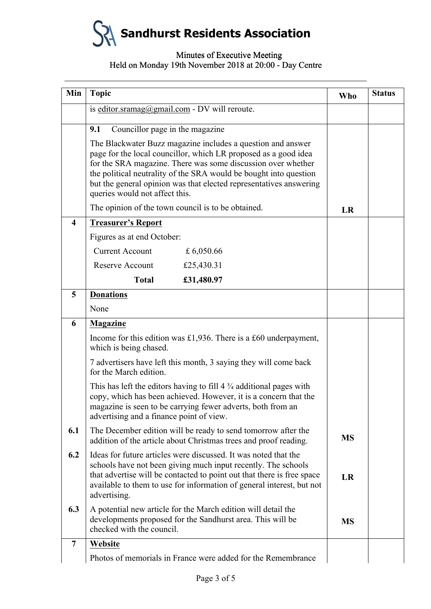**Sandhurst Residents Association**

# Minutes of Executive Meeting Minutes of Executive Meeting Held on Monday 19th November 2018 at 20:00 - Day Centre

| Min              | <b>Topic</b>                                                                                                                                                                                                                                                                                                                                                                | <b>Who</b> | <b>Status</b> |
|------------------|-----------------------------------------------------------------------------------------------------------------------------------------------------------------------------------------------------------------------------------------------------------------------------------------------------------------------------------------------------------------------------|------------|---------------|
|                  | is editor.sramag@gmail.com - DV will reroute.                                                                                                                                                                                                                                                                                                                               |            |               |
|                  | Councillor page in the magazine<br>9.1                                                                                                                                                                                                                                                                                                                                      |            |               |
|                  | The Blackwater Buzz magazine includes a question and answer<br>page for the local councillor, which LR proposed as a good idea<br>for the SRA magazine. There was some discussion over whether<br>the political neutrality of the SRA would be bought into question<br>but the general opinion was that elected representatives answering<br>queries would not affect this. |            |               |
|                  | The opinion of the town council is to be obtained.                                                                                                                                                                                                                                                                                                                          | LR         |               |
| $\boldsymbol{4}$ | <b>Treasurer's Report</b>                                                                                                                                                                                                                                                                                                                                                   |            |               |
|                  | Figures as at end October:                                                                                                                                                                                                                                                                                                                                                  |            |               |
|                  | <b>Current Account</b><br>£ 6,050.66                                                                                                                                                                                                                                                                                                                                        |            |               |
|                  | Reserve Account<br>£25,430.31                                                                                                                                                                                                                                                                                                                                               |            |               |
|                  | <b>Total</b><br>£31,480.97                                                                                                                                                                                                                                                                                                                                                  |            |               |
| 5                | <b>Donations</b>                                                                                                                                                                                                                                                                                                                                                            |            |               |
|                  | None                                                                                                                                                                                                                                                                                                                                                                        |            |               |
| 6                | <b>Magazine</b>                                                                                                                                                                                                                                                                                                                                                             |            |               |
|                  | Income for this edition was £1,936. There is a £60 underpayment,<br>which is being chased.                                                                                                                                                                                                                                                                                  |            |               |
|                  | 7 advertisers have left this month, 3 saying they will come back<br>for the March edition.                                                                                                                                                                                                                                                                                  |            |               |
|                  | This has left the editors having to fill $4\frac{3}{4}$ additional pages with<br>copy, which has been achieved. However, it is a concern that the<br>magazine is seen to be carrying fewer adverts, both from an<br>advertising and a finance point of view.                                                                                                                |            |               |
| 6.1              | The December edition will be ready to send tomorrow after the<br>addition of the article about Christmas trees and proof reading.                                                                                                                                                                                                                                           | <b>MS</b>  |               |
| 6.2              | Ideas for future articles were discussed. It was noted that the<br>schools have not been giving much input recently. The schools<br>that advertise will be contacted to point out that there is free space<br>available to them to use for information of general interest, but not<br>advertising.                                                                         | LR         |               |
| 6.3              | A potential new article for the March edition will detail the<br>developments proposed for the Sandhurst area. This will be<br>checked with the council.                                                                                                                                                                                                                    | <b>MS</b>  |               |
| $\overline{7}$   | Website                                                                                                                                                                                                                                                                                                                                                                     |            |               |
|                  | Photos of memorials in France were added for the Remembrance                                                                                                                                                                                                                                                                                                                |            |               |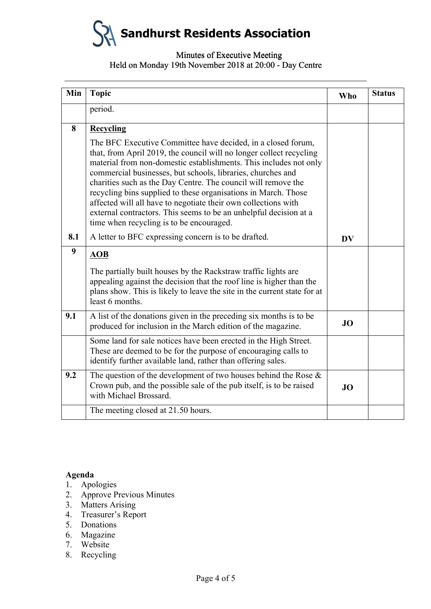**Sandhurst Residents Association**

## Minutes of Executive Meeting Minutes of Executive Meeting Held on Monday 19th November 2018 at 20:00 - Day Centre

| 8                                                      |                                                                                                                                                                                                                                                                                                                                                                                                                                                                                                                                                                                               | <b>Who</b> |  |
|--------------------------------------------------------|-----------------------------------------------------------------------------------------------------------------------------------------------------------------------------------------------------------------------------------------------------------------------------------------------------------------------------------------------------------------------------------------------------------------------------------------------------------------------------------------------------------------------------------------------------------------------------------------------|------------|--|
|                                                        | period.                                                                                                                                                                                                                                                                                                                                                                                                                                                                                                                                                                                       |            |  |
|                                                        | Recycling                                                                                                                                                                                                                                                                                                                                                                                                                                                                                                                                                                                     |            |  |
|                                                        | The BFC Executive Committee have decided, in a closed forum,<br>that, from April 2019, the council will no longer collect recycling<br>material from non-domestic establishments. This includes not only<br>commercial businesses, but schools, libraries, churches and<br>charities such as the Day Centre. The council will remove the<br>recycling bins supplied to these organisations in March. Those<br>affected will all have to negotiate their own collections with<br>external contractors. This seems to be an unhelpful decision at a<br>time when recycling is to be encouraged. |            |  |
| 8.1                                                    | A letter to BFC expressing concern is to be drafted.                                                                                                                                                                                                                                                                                                                                                                                                                                                                                                                                          | <b>DV</b>  |  |
| 9                                                      | <b>AOB</b>                                                                                                                                                                                                                                                                                                                                                                                                                                                                                                                                                                                    |            |  |
|                                                        | The partially built houses by the Rackstraw traffic lights are<br>appealing against the decision that the roof line is higher than the<br>plans show. This is likely to leave the site in the current state for at<br>least 6 months.                                                                                                                                                                                                                                                                                                                                                         |            |  |
| 9.1                                                    | A list of the donations given in the preceding six months is to be<br>produced for inclusion in the March edition of the magazine.                                                                                                                                                                                                                                                                                                                                                                                                                                                            | JO         |  |
|                                                        | Some land for sale notices have been erected in the High Street.<br>These are deemed to be for the purpose of encouraging calls to<br>identify further available land, rather than offering sales.                                                                                                                                                                                                                                                                                                                                                                                            |            |  |
| 9.2                                                    | The question of the development of two houses behind the Rose $\&$<br>Crown pub, and the possible sale of the pub itself, is to be raised<br>with Michael Brossard.                                                                                                                                                                                                                                                                                                                                                                                                                           | <b>JO</b>  |  |
|                                                        | The meeting closed at 21.50 hours.                                                                                                                                                                                                                                                                                                                                                                                                                                                                                                                                                            |            |  |
| Agenda<br>1.<br>2.<br>3.<br>4.<br>5.<br>6.<br>7.<br>8. | Apologies<br><b>Approve Previous Minutes</b><br><b>Matters Arising</b><br>Treasurer's Report<br>Donations<br>Magazine<br>Website<br>Recycling                                                                                                                                                                                                                                                                                                                                                                                                                                                 |            |  |

### **Agenda**

- 1. Apologies
- 2. Approve Previous Minutes
- 3. Matters Arising
- 4. Treasurer's Report
- 5. Donations
- 6. Magazine
- 7. Website
- 8. Recycling